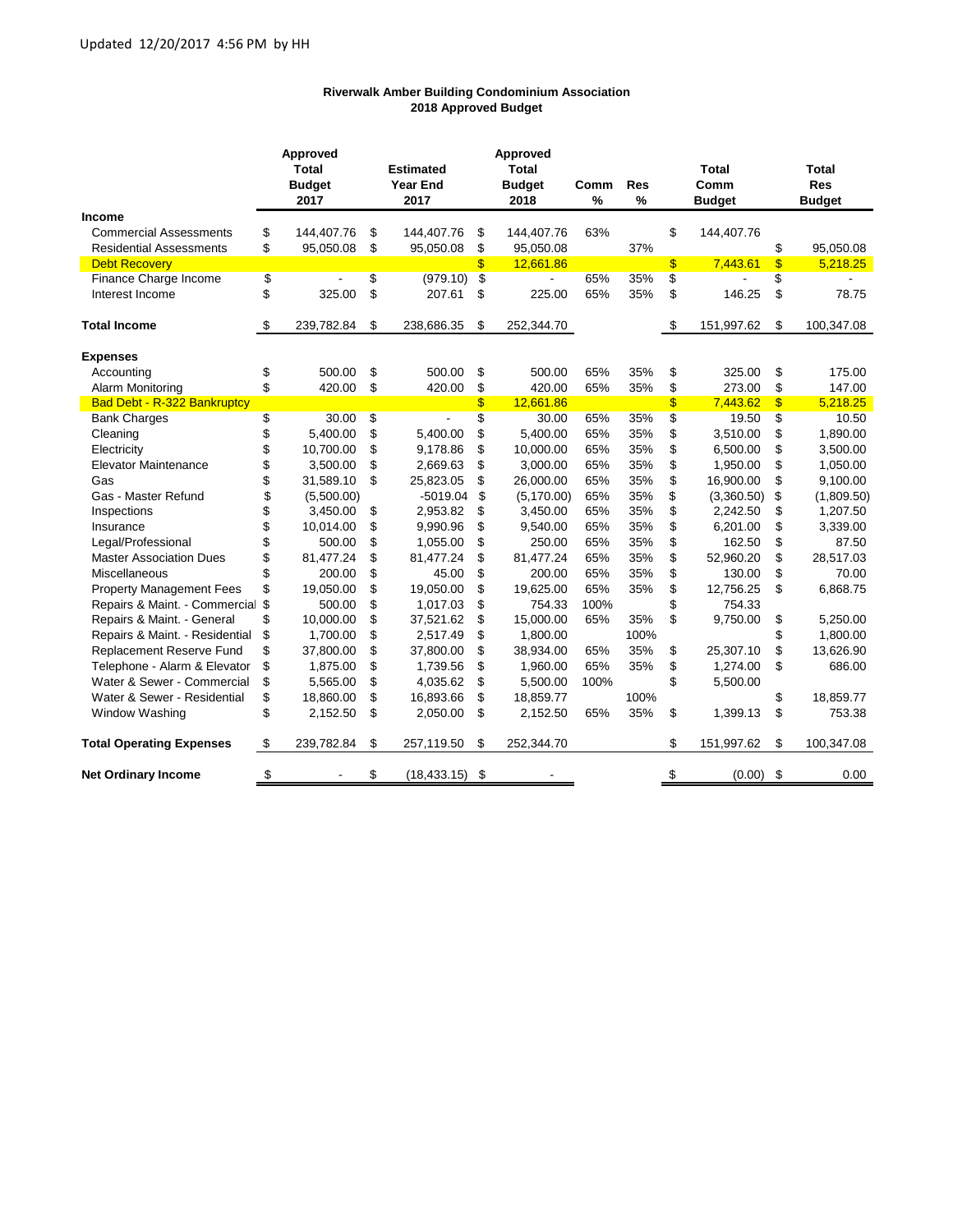## **Riverwalk Amber Building Condominium Association 2018 Approved Budget**

|                                    | Approved |               | Approved             |    |               |      |            |                           |               |                         |               |
|------------------------------------|----------|---------------|----------------------|----|---------------|------|------------|---------------------------|---------------|-------------------------|---------------|
|                                    |          | <b>Total</b>  | <b>Estimated</b>     |    | <b>Total</b>  |      |            |                           | Total         |                         | <b>Total</b>  |
|                                    |          | <b>Budget</b> | <b>Year End</b>      |    | <b>Budget</b> | Comm | <b>Res</b> |                           | Comm          |                         | <b>Res</b>    |
|                                    |          | 2017          | 2017                 |    | 2018          | $\%$ | $\%$       |                           | <b>Budget</b> |                         | <b>Budget</b> |
| <b>Income</b>                      |          |               |                      |    |               |      |            |                           |               |                         |               |
| <b>Commercial Assessments</b>      | \$       | 144,407.76    | \$<br>144,407.76     | \$ | 144,407.76    | 63%  |            | \$                        | 144,407.76    |                         |               |
| <b>Residential Assessments</b>     | \$       | 95,050.08     | \$<br>95,050.08      | \$ | 95,050.08     |      | 37%        |                           |               | \$                      | 95,050.08     |
| <b>Debt Recovery</b>               |          |               |                      | \$ | 12,661.86     |      |            | $\boldsymbol{\mathsf{s}}$ | 7,443.61      | $\mathbf{\$}$           | 5,218.25      |
| Finance Charge Income              | \$       |               | \$<br>(979.10)       | \$ |               | 65%  | 35%        | \$                        |               | \$                      |               |
| Interest Income                    | \$       | 325.00        | \$<br>207.61         | \$ | 225.00        | 65%  | 35%        | \$                        | 146.25        | \$                      | 78.75         |
| <b>Total Income</b>                | \$       | 239,782.84    | \$<br>238,686.35     | \$ | 252,344.70    |      |            | \$                        | 151,997.62    | \$                      | 100,347.08    |
| <b>Expenses</b>                    |          |               |                      |    |               |      |            |                           |               |                         |               |
| Accounting                         | \$       | 500.00        | \$<br>500.00         | \$ | 500.00        | 65%  | 35%        | \$                        | 325.00        | \$                      | 175.00        |
| Alarm Monitoring                   | \$       | 420.00        | \$<br>420.00         | \$ | 420.00        | 65%  | 35%        | \$                        | 273.00        | \$                      | 147.00        |
| <b>Bad Debt - R-322 Bankruptcy</b> |          |               |                      | \$ | 12,661.86     |      |            | \$                        | 7,443.62      | $\overline{\mathbf{3}}$ | 5,218.25      |
| <b>Bank Charges</b>                | \$       | 30.00         | \$<br>$\overline{a}$ | \$ | 30.00         | 65%  | 35%        | \$                        | 19.50         | \$                      | 10.50         |
| Cleaning                           | \$       | 5,400.00      | \$<br>5,400.00       | \$ | 5,400.00      | 65%  | 35%        | \$                        | 3,510.00      | \$                      | 1,890.00      |
| Electricity                        | \$       | 10.700.00     | \$<br>9,178.86       | \$ | 10,000.00     | 65%  | 35%        | \$                        | 6,500.00      | \$                      | 3,500.00      |
| <b>Elevator Maintenance</b>        | \$       | 3,500.00      | \$<br>2,669.63       | \$ | 3,000.00      | 65%  | 35%        | \$                        | 1,950.00      | \$                      | 1,050.00      |
| Gas                                | \$       | 31,589.10     | \$<br>25,823.05      | \$ | 26,000.00     | 65%  | 35%        | \$                        | 16,900.00     | \$                      | 9,100.00      |
| Gas - Master Refund                | \$       | (5,500.00)    | $-5019.04$           | \$ | (5, 170.00)   | 65%  | 35%        | \$                        | (3,360.50)    | \$                      | (1,809.50)    |
| Inspections                        | \$       | 3,450.00      | \$<br>2,953.82       | \$ | 3,450.00      | 65%  | 35%        | \$                        | 2,242.50      | \$                      | 1,207.50      |
| Insurance                          | \$       | 10,014.00     | \$<br>9,990.96       | \$ | 9,540.00      | 65%  | 35%        | \$                        | 6,201.00      | \$                      | 3,339.00      |
| Legal/Professional                 | \$       | 500.00        | \$<br>1,055.00       | \$ | 250.00        | 65%  | 35%        | \$                        | 162.50        | \$                      | 87.50         |
| <b>Master Association Dues</b>     | \$       | 81,477.24     | \$<br>81,477.24      | \$ | 81,477.24     | 65%  | 35%        | \$                        | 52,960.20     | \$                      | 28,517.03     |
| Miscellaneous                      | \$       | 200.00        | \$<br>45.00          | \$ | 200.00        | 65%  | 35%        | \$                        | 130.00        | \$                      | 70.00         |
| <b>Property Management Fees</b>    | \$       | 19,050.00     | \$<br>19,050.00      | \$ | 19,625.00     | 65%  | 35%        | \$                        | 12,756.25     | \$                      | 6,868.75      |
| Repairs & Maint. - Commercial      | \$       | 500.00        | \$<br>1,017.03       | \$ | 754.33        | 100% |            | \$                        | 754.33        |                         |               |
| Repairs & Maint. - General         | \$       | 10,000.00     | \$<br>37,521.62      | \$ | 15,000.00     | 65%  | 35%        | \$                        | 9,750.00      | \$                      | 5,250.00      |
| Repairs & Maint. - Residential     | \$       | 1,700.00      | \$<br>2,517.49       | \$ | 1,800.00      |      | 100%       |                           |               | \$                      | 1,800.00      |
| Replacement Reserve Fund           | \$       | 37,800.00     | \$<br>37,800.00      | \$ | 38,934.00     | 65%  | 35%        | \$                        | 25,307.10     | \$                      | 13,626.90     |
| Telephone - Alarm & Elevator       | \$       | 1,875.00      | \$<br>1,739.56       | \$ | 1,960.00      | 65%  | 35%        | \$                        | 1,274.00      | \$                      | 686.00        |
| Water & Sewer - Commercial         | \$       | 5,565.00      | \$<br>4,035.62       | \$ | 5,500.00      | 100% |            | \$                        | 5,500.00      |                         |               |
| Water & Sewer - Residential        | \$       | 18,860.00     | \$<br>16,893.66      | \$ | 18,859.77     |      | 100%       |                           |               | \$                      | 18,859.77     |
| Window Washing                     | \$       | 2,152.50      | \$<br>2,050.00       | \$ | 2,152.50      | 65%  | 35%        | \$                        | 1,399.13      | \$                      | 753.38        |
| <b>Total Operating Expenses</b>    | \$       | 239,782.84    | \$<br>257,119.50     | \$ | 252,344.70    |      |            | \$                        | 151,997.62    | \$                      | 100,347.08    |
| <b>Net Ordinary Income</b>         | \$       |               | \$<br>(18, 433.15)   | \$ |               |      |            | \$                        | (0.00)        | \$                      | 0.00          |